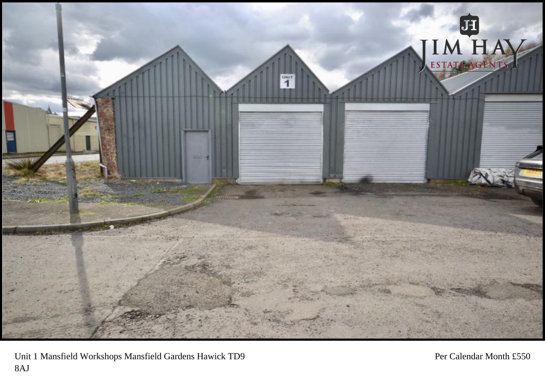

Unit 1 Mansfield Workshops Mansfield Gardens Hawick TD9 8AJ

Per Calendar Month £550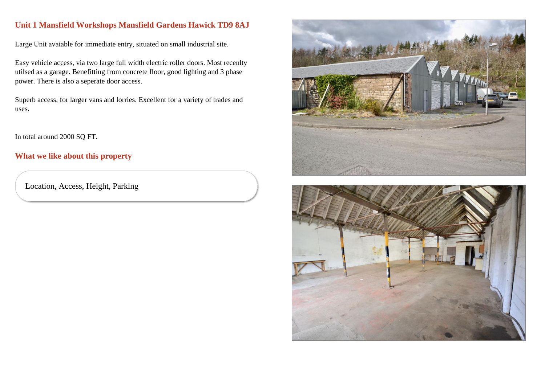## **Unit 1 Mansfield Workshops Mansfield Gardens Hawick TD9 8AJ**

Large Unit avaiable for immediate entry, situated on small industrial site.

Easy vehicle access, via two large full width electric roller doors. Most recenlty utilsed as a garage. Benefitting from concrete floor, good lighting and 3 phase power. There is also a seperate door access.

Superb access, for larger vans and lorries. Excellent for a variety of trades and uses.

In total around 2000 SQ FT.

## **What we like about this property**

Location, Access, Height, Parking



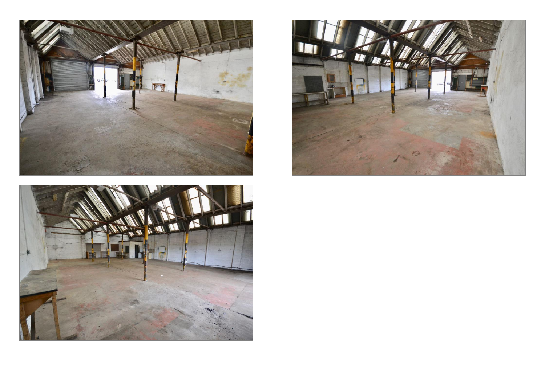